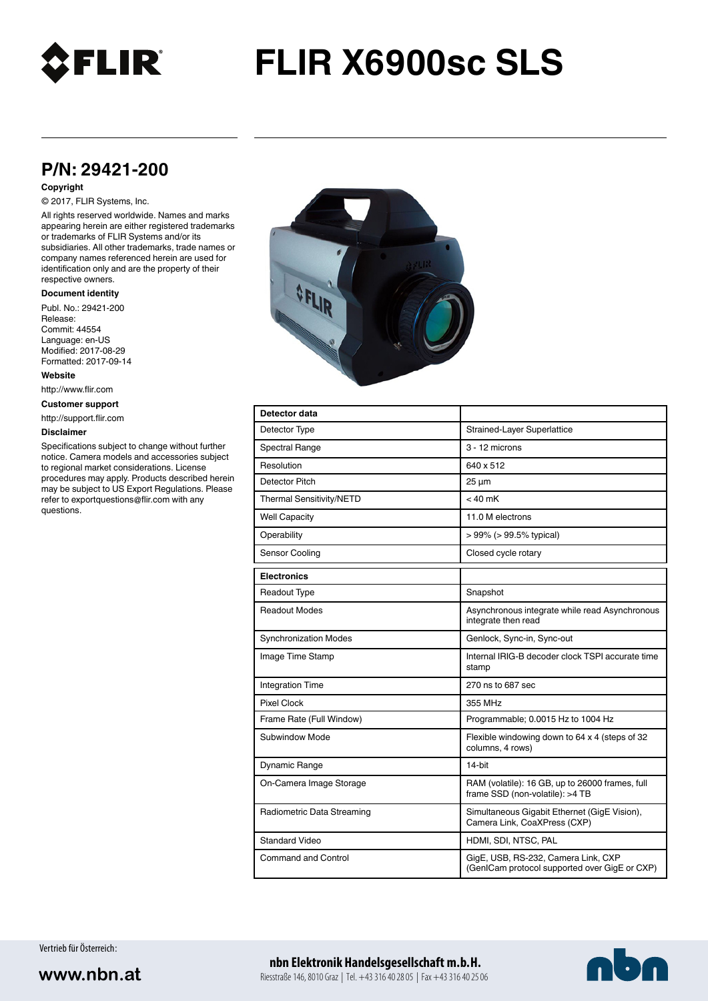

# **FLIR X6900sc SLS**

## **P/N: 29421-200**

#### **Copyright**

## © 2017, FLIR Systems, Inc.

All rights reserved worldwide. Names and marks appearing herein are either registered trademarks or trademarks of FLIR Systems and/or its subsidiaries. All other trademarks, trade names or company names referenced herein are used for identification only and are the property of their respective owners.

### **Document identity**

Publ. No.: 29421-200 Release: Commit: 44554 Language: en-US Modified: 2017-08-29 Formatted: 2017-09-14

**Website**

http://www.flir.com

**Customer support**

http://support.flir.com

#### **Disclaimer**

Specifications subject to change without further notice. Camera models and accessories subject to regional market considerations. License procedures may apply. Products described herein may be subject to US Export Regulations. Please refer to exportquestions@flir.com with any questions.



| Detector data                |                                                                                      |
|------------------------------|--------------------------------------------------------------------------------------|
| Detector Type                | Strained-Layer Superlattice                                                          |
| <b>Spectral Range</b>        | 3 - 12 microns                                                                       |
| Resolution                   | 640 x 512                                                                            |
| Detector Pitch               | $25 \mu m$                                                                           |
| Thermal Sensitivity/NETD     | $< 40$ mK                                                                            |
| <b>Well Capacity</b>         | 11.0 M electrons                                                                     |
| Operability                  | $> 99\%$ ( $> 99.5\%$ typical)                                                       |
| Sensor Cooling               | Closed cycle rotary                                                                  |
| <b>Electronics</b>           |                                                                                      |
| <b>Readout Type</b>          | Snapshot                                                                             |
| <b>Readout Modes</b>         | Asynchronous integrate while read Asynchronous<br>integrate then read                |
| <b>Synchronization Modes</b> | Genlock, Sync-in, Sync-out                                                           |
| Image Time Stamp             | Internal IRIG-B decoder clock TSPI accurate time<br>stamp                            |
| <b>Integration Time</b>      | 270 ns to 687 sec                                                                    |
| <b>Pixel Clock</b>           | 355 MHz                                                                              |
| Frame Rate (Full Window)     | Programmable; 0.0015 Hz to 1004 Hz                                                   |
| Subwindow Mode               | Flexible windowing down to 64 x 4 (steps of 32<br>columns, 4 rows)                   |
| Dynamic Range                | 14-bit                                                                               |
| On-Camera Image Storage      | RAM (volatile): 16 GB, up to 26000 frames, full<br>frame SSD (non-volatile): >4 TB   |
| Radiometric Data Streaming   | Simultaneous Gigabit Ethernet (GigE Vision),<br>Camera Link, CoaXPress (CXP)         |
| <b>Standard Video</b>        | HDMI, SDI, NTSC, PAL                                                                 |
| <b>Command and Control</b>   | GigE, USB, RS-232, Camera Link, CXP<br>(GenICam protocol supported over GigE or CXP) |

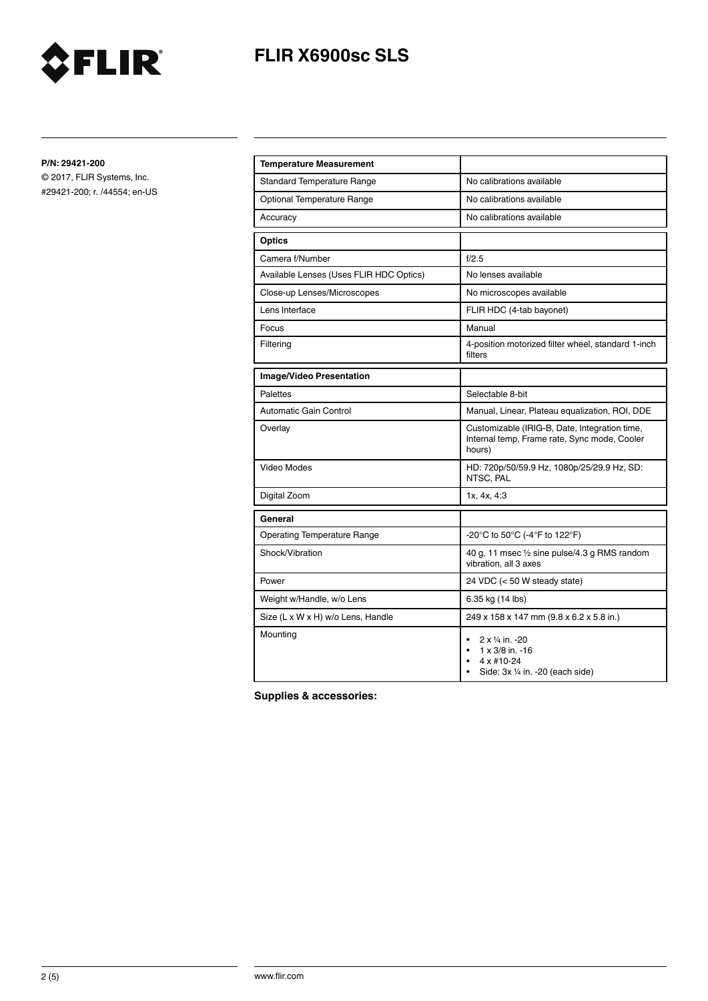

# **FLIR X6900sc SLS**

**P/N: 29421-200**

© 2017, FLIR Systems, Inc. #29421-200; r. /44554; en-US

| <b>Temperature Measurement</b>          |                                                                                                                       |
|-----------------------------------------|-----------------------------------------------------------------------------------------------------------------------|
| <b>Standard Temperature Range</b>       | No calibrations available                                                                                             |
| Optional Temperature Range              | No calibrations available                                                                                             |
| Accuracy                                | No calibrations available                                                                                             |
| <b>Optics</b>                           |                                                                                                                       |
| Camera f/Number                         | f/2.5                                                                                                                 |
| Available Lenses (Uses FLIR HDC Optics) | No lenses available                                                                                                   |
| Close-up Lenses/Microscopes             | No microscopes available                                                                                              |
| Lens Interface                          | FLIR HDC (4-tab bayonet)                                                                                              |
| Focus                                   | Manual                                                                                                                |
| Filtering                               | 4-position motorized filter wheel, standard 1-inch<br>filters                                                         |
| Image/Video Presentation                |                                                                                                                       |
| Palettes                                | Selectable 8-bit                                                                                                      |
| <b>Automatic Gain Control</b>           | Manual, Linear, Plateau equalization, ROI, DDE                                                                        |
| Overlay                                 | Customizable (IRIG-B, Date, Integration time,<br>Internal temp, Frame rate, Sync mode, Cooler<br>hours)               |
| Video Modes                             | HD: 720p/50/59.9 Hz, 1080p/25/29.9 Hz, SD:<br>NTSC, PAL                                                               |
| Digital Zoom                            | 1x, 4x, 4:3                                                                                                           |
| General                                 |                                                                                                                       |
| <b>Operating Temperature Range</b>      | -20°C to 50°C (-4°F to 122°F)                                                                                         |
| Shock/Vibration                         | 40 g, 11 msec 1/2 sine pulse/4.3 g RMS random<br>vibration, all 3 axes                                                |
| Power                                   | 24 VDC (< 50 W steady state)                                                                                          |
| Weight w/Handle, w/o Lens               | 6.35 kg (14 lbs)                                                                                                      |
| Size (L x W x H) w/o Lens, Handle       | 249 x 158 x 147 mm (9.8 x 6.2 x 5.8 in.)                                                                              |
| Mounting                                | 2 x 1/4 in. -20<br>$\bullet$<br>$1 \times 3/8$ in. -16<br>$\bullet$<br>4 x #10-24<br>Side: 3x 1/4 in. -20 (each side) |

**Supplies & accessories:**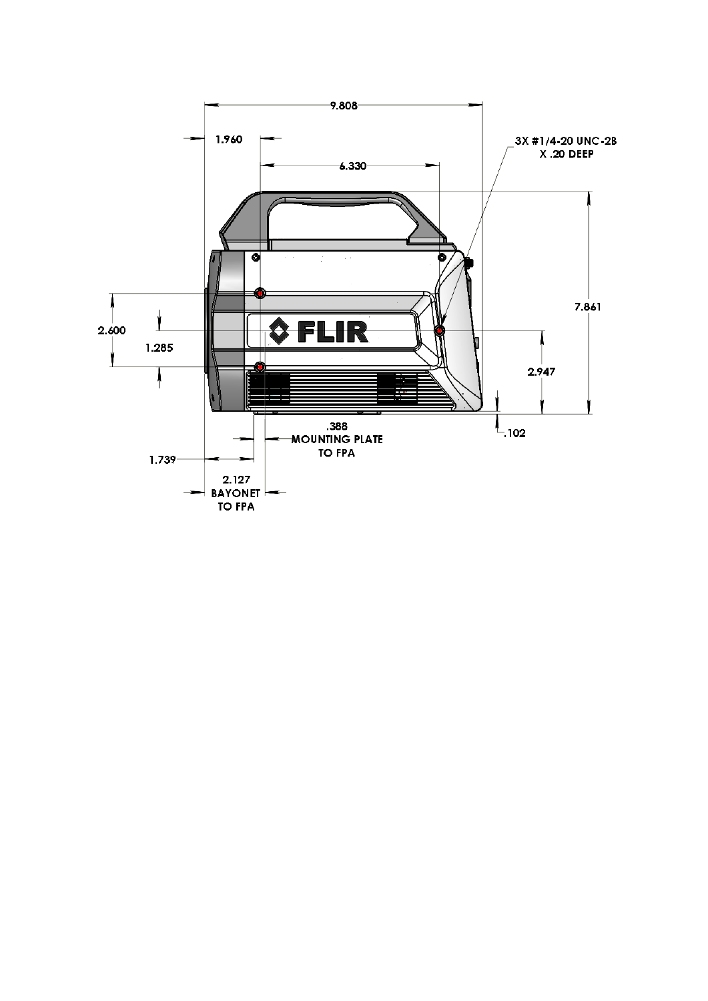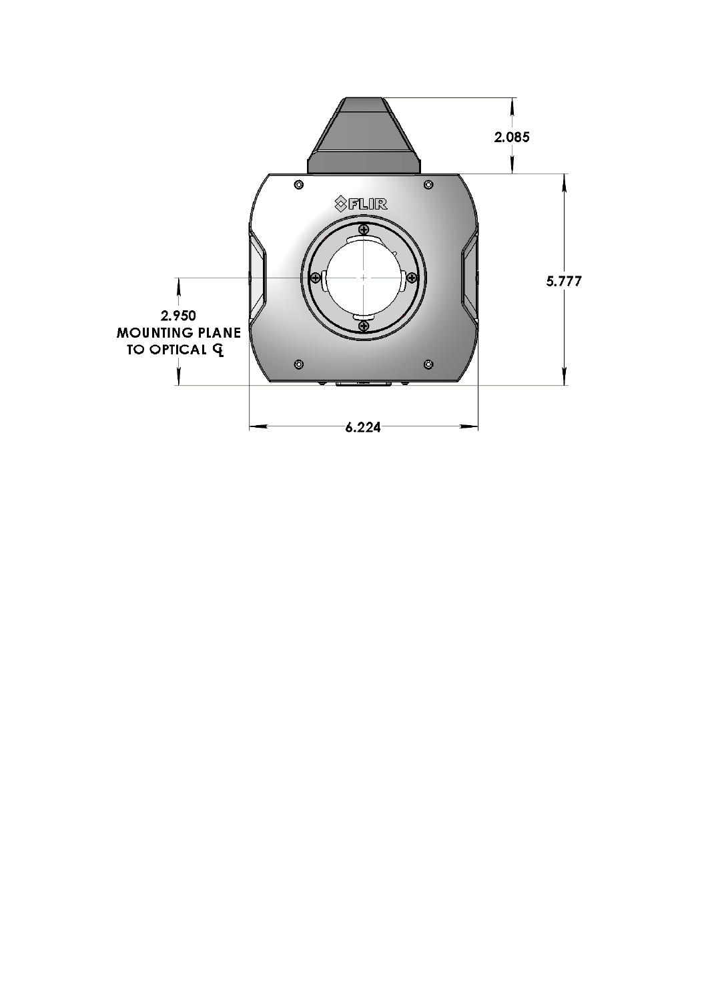